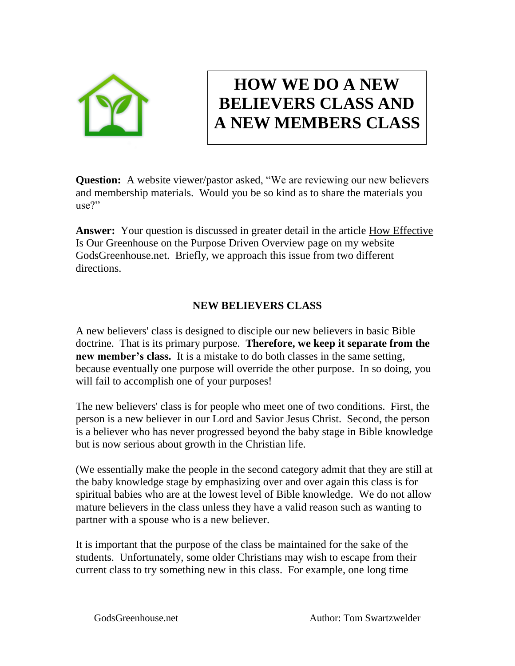

## **HOW WE DO A NEW BELIEVERS CLASS AND A NEW MEMBERS CLASS**

**Question:** A website viewer/pastor asked, "We are reviewing our new believers and membership materials. Would you be so kind as to share the materials you use?"

**Answer:** Your question is discussed in greater detail in the article How Effective Is Our Greenhouse on the Purpose Driven Overview page on my website [GodsGreenhouse.net.](http://www.pdcpastort.com/) Briefly, we approach this issue from two different directions.

## **NEW BELIEVERS CLASS**

A new believers' class is designed to disciple our new believers in basic Bible doctrine. That is its primary purpose. **Therefore, we keep it separate from the new member's class.** It is a mistake to do both classes in the same setting, because eventually one purpose will override the other purpose. In so doing, you will fail to accomplish one of your purposes!

The new believers' class is for people who meet one of two conditions. First, the person is a new believer in our Lord and Savior Jesus Christ. Second, the person is a believer who has never progressed beyond the baby stage in Bible knowledge but is now serious about growth in the Christian life.

(We essentially make the people in the second category admit that they are still at the baby knowledge stage by emphasizing over and over again this class is for spiritual babies who are at the lowest level of Bible knowledge. We do not allow mature believers in the class unless they have a valid reason such as wanting to partner with a spouse who is a new believer.

It is important that the purpose of the class be maintained for the sake of the students. Unfortunately, some older Christians may wish to escape from their current class to try something new in this class. For example, one long time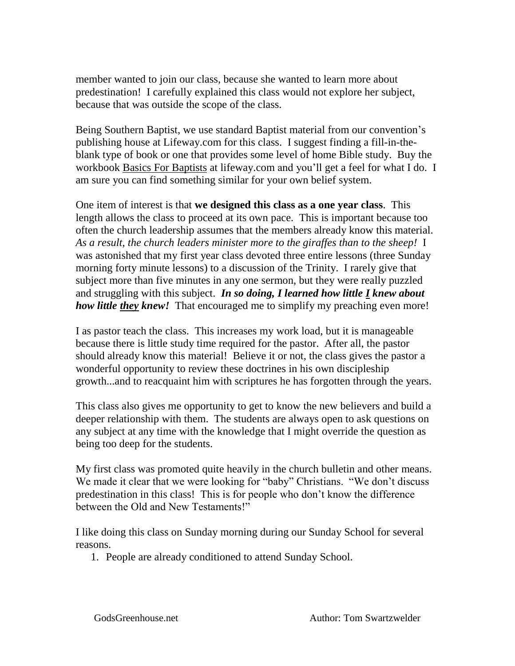member wanted to join our class, because she wanted to learn more about predestination! I carefully explained this class would not explore her subject, because that was outside the scope of the class.

Being Southern Baptist, we use standard Baptist material from our convention's publishing house at Lifeway.com for this class. I suggest finding a fill-in-theblank type of book or one that provides some level of home Bible study. Buy the workbook Basics For Baptists at lifeway.com and you'll get a feel for what I do. I am sure you can find something similar for your own belief system.

One item of interest is that **we designed this class as a one year class**. This length allows the class to proceed at its own pace. This is important because too often the church leadership assumes that the members already know this material. *As a result, the church leaders minister more to the giraffes than to the sheep!* I was astonished that my first year class devoted three entire lessons (three Sunday morning forty minute lessons) to a discussion of the Trinity. I rarely give that subject more than five minutes in any one sermon, but they were really puzzled and struggling with this subject. *In so doing, I learned how little I knew about how little they knew!* That encouraged me to simplify my preaching even more!

I as pastor teach the class. This increases my work load, but it is manageable because there is little study time required for the pastor. After all, the pastor should already know this material! Believe it or not, the class gives the pastor a wonderful opportunity to review these doctrines in his own discipleship growth...and to reacquaint him with scriptures he has forgotten through the years.

This class also gives me opportunity to get to know the new believers and build a deeper relationship with them. The students are always open to ask questions on any subject at any time with the knowledge that I might override the question as being too deep for the students.

My first class was promoted quite heavily in the church bulletin and other means. We made it clear that we were looking for "baby" Christians. "We don't discuss predestination in this class! This is for people who don't know the difference between the Old and New Testaments!"

I like doing this class on Sunday morning during our Sunday School for several reasons.

1. People are already conditioned to attend Sunday School.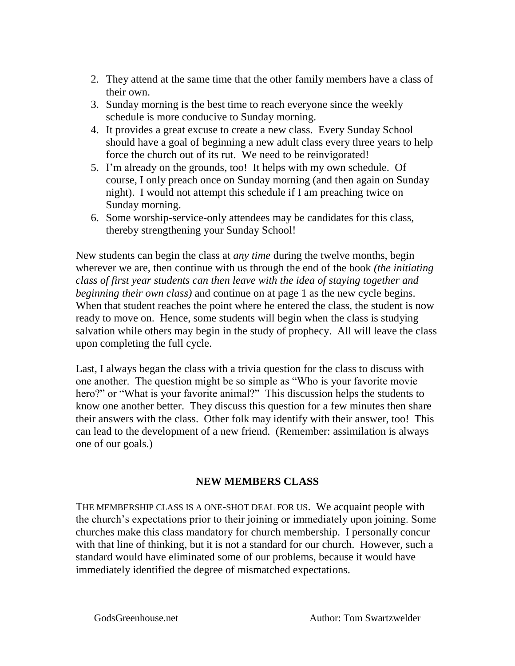- 2. They attend at the same time that the other family members have a class of their own.
- 3. Sunday morning is the best time to reach everyone since the weekly schedule is more conducive to Sunday morning.
- 4. It provides a great excuse to create a new class. Every Sunday School should have a goal of beginning a new adult class every three years to help force the church out of its rut. We need to be reinvigorated!
- 5. I'm already on the grounds, too! It helps with my own schedule. Of course, I only preach once on Sunday morning (and then again on Sunday night). I would not attempt this schedule if I am preaching twice on Sunday morning.
- 6. Some worship-service-only attendees may be candidates for this class, thereby strengthening your Sunday School!

New students can begin the class at *any time* during the twelve months, begin wherever we are, then continue with us through the end of the book *(the initiating class of first year students can then leave with the idea of staying together and beginning their own class)* and continue on at page 1 as the new cycle begins. When that student reaches the point where he entered the class, the student is now ready to move on. Hence, some students will begin when the class is studying salvation while others may begin in the study of prophecy. All will leave the class upon completing the full cycle.

Last, I always began the class with a trivia question for the class to discuss with one another. The question might be so simple as "Who is your favorite movie hero?" or "What is your favorite animal?" This discussion helps the students to know one another better. They discuss this question for a few minutes then share their answers with the class. Other folk may identify with their answer, too! This can lead to the development of a new friend. (Remember: assimilation is always one of our goals.)

## **NEW MEMBERS CLASS**

THE MEMBERSHIP CLASS IS A ONE-SHOT DEAL FOR US. We acquaint people with the church's expectations prior to their joining or immediately upon joining. Some churches make this class mandatory for church membership. I personally concur with that line of thinking, but it is not a standard for our church. However, such a standard would have eliminated some of our problems, because it would have immediately identified the degree of mismatched expectations.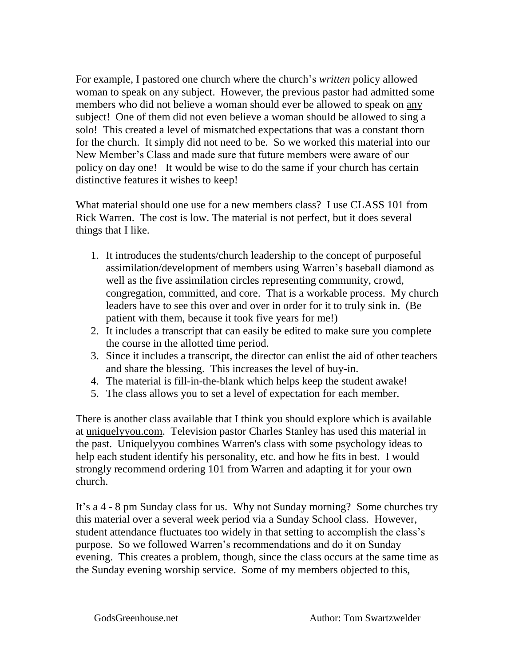For example, I pastored one church where the church's *written* policy allowed woman to speak on any subject. However, the previous pastor had admitted some members who did not believe a woman should ever be allowed to speak on any subject! One of them did not even believe a woman should be allowed to sing a solo! This created a level of mismatched expectations that was a constant thorn for the church. It simply did not need to be. So we worked this material into our New Member's Class and made sure that future members were aware of our policy on day one! It would be wise to do the same if your church has certain distinctive features it wishes to keep!

What material should one use for a new members class? I use CLASS 101 from Rick Warren. The cost is low. The material is not perfect, but it does several things that I like.

- 1. It introduces the students/church leadership to the concept of purposeful assimilation/development of members using Warren's baseball diamond as well as the five assimilation circles representing community, crowd, congregation, committed, and core. That is a workable process. My church leaders have to see this over and over in order for it to truly sink in. (Be patient with them, because it took five years for me!)
- 2. It includes a transcript that can easily be edited to make sure you complete the course in the allotted time period.
- 3. Since it includes a transcript, the director can enlist the aid of other teachers and share the blessing. This increases the level of buy-in.
- 4. The material is fill-in-the-blank which helps keep the student awake!
- 5. The class allows you to set a level of expectation for each member.

There is another class available that I think you should explore which is available at [uniquelyyou.com.](http://uniquelyyou.com/) Television pastor Charles Stanley has used this material in the past. Uniquelyyou combines Warren's class with some psychology ideas to help each student identify his personality, etc. and how he fits in best. I would strongly recommend ordering 101 from Warren and adapting it for your own church.

It's a 4 - 8 pm Sunday class for us. Why not Sunday morning? Some churches try this material over a several week period via a Sunday School class. However, student attendance fluctuates too widely in that setting to accomplish the class's purpose. So we followed Warren's recommendations and do it on Sunday evening. This creates a problem, though, since the class occurs at the same time as the Sunday evening worship service. Some of my members objected to this,